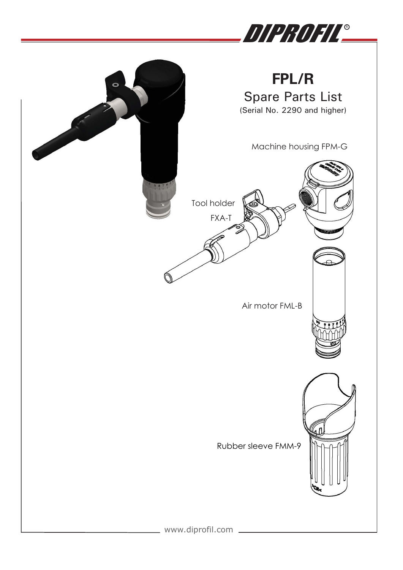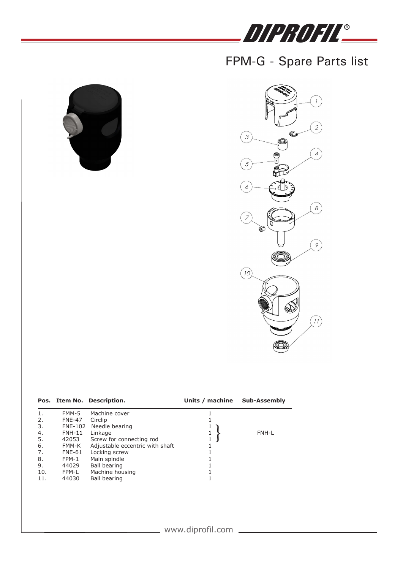# DIPROFIL<u>®</u>

### FPM-G - Spare Parts list





|     |                | Pos. Item No. Description.      | Units / machine | Sub-Assembly |
|-----|----------------|---------------------------------|-----------------|--------------|
|     | FMM-5          | Machine cover                   |                 |              |
| 2.  | <b>FNE-47</b>  | Circlip                         |                 |              |
| 3.  | <b>FNE-102</b> | Needle bearing                  |                 |              |
| 4.  | $FNH-11$       | Linkage                         | 1               | FNH-L        |
| 5.  | 42053          | Screw for connecting rod        |                 |              |
| 6.  | FMM-K          | Adjustable eccentric with shaft |                 |              |
| 7.  | <b>FNE-61</b>  | Locking screw                   |                 |              |
| 8.  | FPM-1          | Main spindle                    |                 |              |
| 9.  | 44029          | Ball bearing                    |                 |              |
| 10. | FPM-L          | Machine housing                 |                 |              |
| 11. | 44030          | Ball bearing                    |                 |              |
|     |                |                                 |                 |              |
|     |                |                                 |                 |              |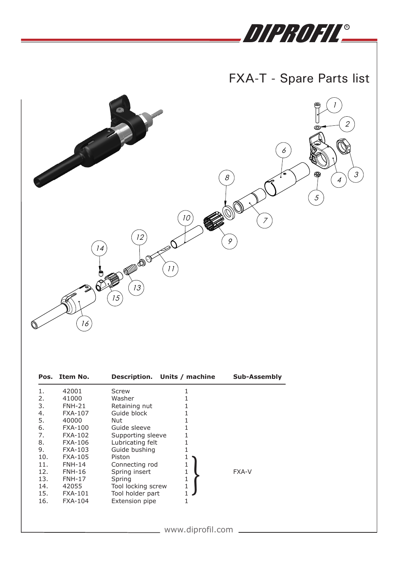# DIPROFIL®

#### $\left| \begin{array}{c} \n\text{I} & \n\end{array} \right|$  $\mathsf{FXA\text{-}T}$  - Spare Parts list



|     | Pos. Item No.  | Description. Units / machine |                  | <b>Sub-Assembly</b> |
|-----|----------------|------------------------------|------------------|---------------------|
| 1.  | 42001          | <b>Screw</b>                 | 1                |                     |
| 2.  | 41000          | Washer                       | 1                |                     |
| 3.  | $FMH-21$       | Retaining nut                |                  |                     |
| 4.  | <b>FXA-107</b> | Guide block                  |                  |                     |
| 5.  | 40000          | Nut                          |                  |                     |
| 6.  | <b>FXA-100</b> | Guide sleeve                 | 1                |                     |
| 7.  | <b>FXA-102</b> | Supporting sleeve            | 1                |                     |
| 8.  | <b>FXA-106</b> | Lubricating felt             | 1                |                     |
| 9.  | <b>FXA-103</b> | Guide bushing                | 1                |                     |
| 10. | <b>FXA-105</b> | Piston                       | 1                |                     |
| 11. | <b>FNH-14</b>  | Connecting rod               | 1                |                     |
| 12. | <b>FNH-16</b>  | Spring insert                | 1                | <b>FXA-V</b>        |
| 13. | <b>FNH-17</b>  | Spring                       | $\mathbf{1}$     |                     |
| 14. | 42055          | Tool locking screw           | $\mathbf{1}$     |                     |
| 15. | <b>FXA-101</b> | Tool holder part             | $\mathbf{1}$     |                     |
| 16. | <b>FXA-104</b> | <b>Extension pipe</b>        | 1                |                     |
|     |                |                              |                  |                     |
|     |                |                              |                  |                     |
|     |                |                              |                  |                     |
|     |                |                              | www.diprofil.com |                     |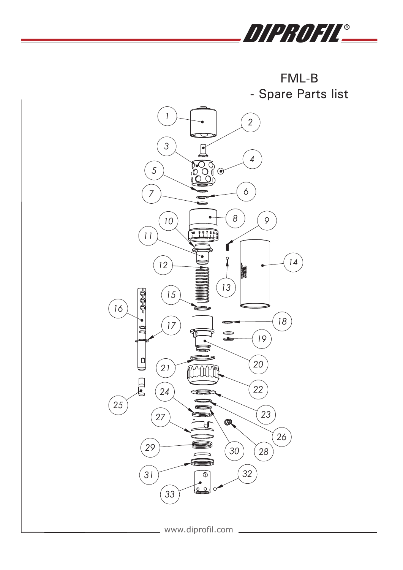

**Parts for Air-motor FML-B and HPL-B** FML-B - Spare Parts list



**8**